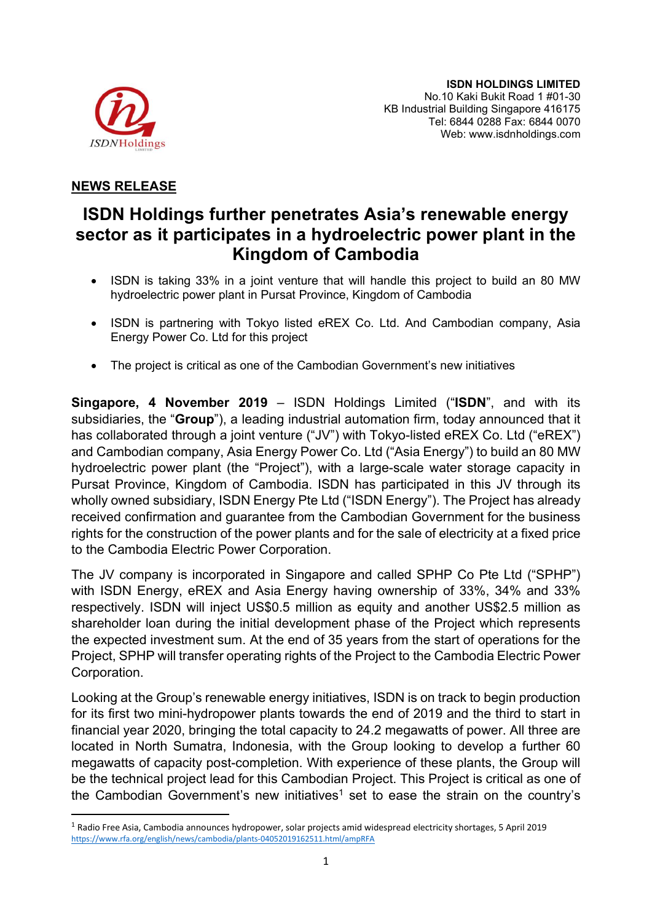

## NEWS RELEASE

# ISDN Holdings further penetrates Asia's renewable energy sector as it participates in a hydroelectric power plant in the Kingdom of Cambodia

- ISDN is taking 33% in a joint venture that will handle this project to build an 80 MW hydroelectric power plant in Pursat Province, Kingdom of Cambodia
- ISDN is partnering with Tokyo listed eREX Co. Ltd. And Cambodian company, Asia Energy Power Co. Ltd for this project
- The project is critical as one of the Cambodian Government's new initiatives

Singapore, 4 November 2019 – ISDN Holdings Limited ("ISDN", and with its subsidiaries, the "**Group**"), a leading industrial automation firm, today announced that it has collaborated through a joint venture ("JV") with Tokyo-listed eREX Co. Ltd ("eREX") and Cambodian company, Asia Energy Power Co. Ltd ("Asia Energy") to build an 80 MW hydroelectric power plant (the "Project"), with a large-scale water storage capacity in Pursat Province, Kingdom of Cambodia. ISDN has participated in this JV through its wholly owned subsidiary, ISDN Energy Pte Ltd ("ISDN Energy"). The Project has already received confirmation and guarantee from the Cambodian Government for the business rights for the construction of the power plants and for the sale of electricity at a fixed price to the Cambodia Electric Power Corporation.

The JV company is incorporated in Singapore and called SPHP Co Pte Ltd ("SPHP") with ISDN Energy, eREX and Asia Energy having ownership of 33%, 34% and 33% respectively. ISDN will inject US\$0.5 million as equity and another US\$2.5 million as shareholder loan during the initial development phase of the Project which represents the expected investment sum. At the end of 35 years from the start of operations for the Project, SPHP will transfer operating rights of the Project to the Cambodia Electric Power Corporation.

Looking at the Group's renewable energy initiatives, ISDN is on track to begin production for its first two mini-hydropower plants towards the end of 2019 and the third to start in financial year 2020, bringing the total capacity to 24.2 megawatts of power. All three are located in North Sumatra, Indonesia, with the Group looking to develop a further 60 megawatts of capacity post-completion. With experience of these plants, the Group will be the technical project lead for this Cambodian Project. This Project is critical as one of the Cambodian Government's new initiatives<sup>1</sup> set to ease the strain on the country's

<sup>1</sup> Radio Free Asia, Cambodia announces hydropower, solar projects amid widespread electricity shortages, 5 April 2019 https://www.rfa.org/english/news/cambodia/plants-04052019162511.html/ampRFA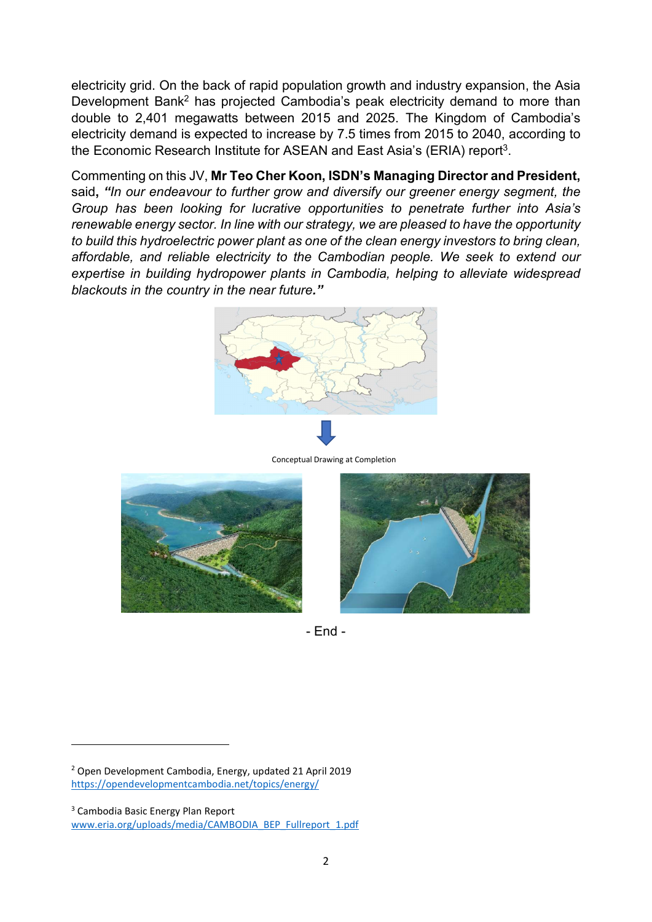electricity grid. On the back of rapid population growth and industry expansion, the Asia Development Bank<sup>2</sup> has projected Cambodia's peak electricity demand to more than double to 2,401 megawatts between 2015 and 2025. The Kingdom of Cambodia's electricity demand is expected to increase by 7.5 times from 2015 to 2040, according to the Economic Research Institute for ASEAN and East Asia's (ERIA) report<sup>3</sup>.

Commenting on this JV, Mr Teo Cher Koon, ISDN's Managing Director and President, said, "In our endeavour to further grow and diversify our greener energy segment, the Group has been looking for lucrative opportunities to penetrate further into Asia's renewable energy sector. In line with our strategy, we are pleased to have the opportunity to build this hydroelectric power plant as one of the clean energy investors to bring clean, affordable, and reliable electricity to the Cambodian people. We seek to extend our expertise in building hydropower plants in Cambodia, helping to alleviate widespread blackouts in the country in the near future."



Conceptual Drawing at Completion





- End -

2 Open Development Cambodia, Energy, updated 21 April 2019 https://opendevelopmentcambodia.net/topics/energy/

<sup>3</sup> Cambodia Basic Energy Plan Report

www.eria.org/uploads/media/CAMBODIA\_BEP\_Fullreport\_1.pdf